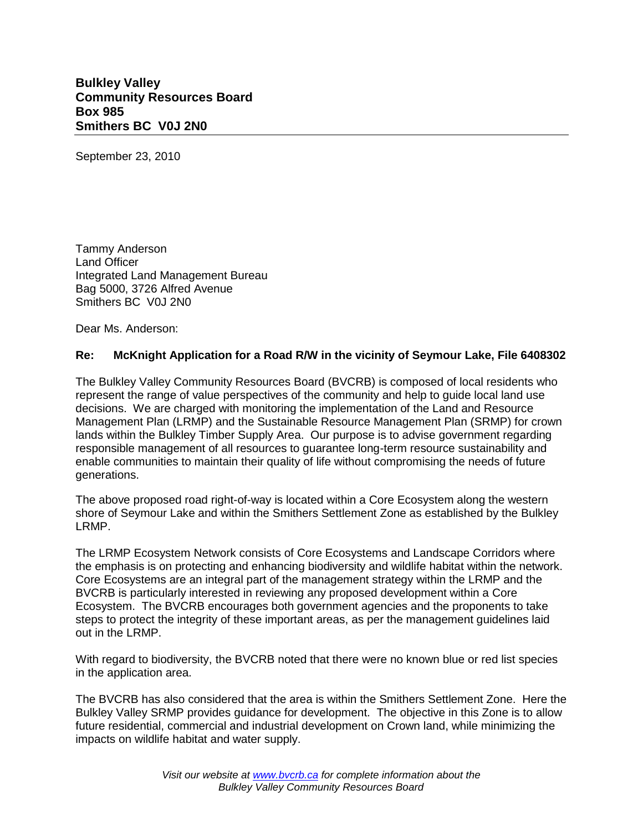**Bulkley Valley Community Resources Board Box 985 Smithers BC V0J 2N0**

September 23, 2010

Tammy Anderson Land Officer Integrated Land Management Bureau Bag 5000, 3726 Alfred Avenue Smithers BC V0J 2N0

Dear Ms. Anderson:

## **Re: McKnight Application for a Road R/W in the vicinity of Seymour Lake, File 6408302**

The Bulkley Valley Community Resources Board (BVCRB) is composed of local residents who represent the range of value perspectives of the community and help to guide local land use decisions. We are charged with monitoring the implementation of the Land and Resource Management Plan (LRMP) and the Sustainable Resource Management Plan (SRMP) for crown lands within the Bulkley Timber Supply Area. Our purpose is to advise government regarding responsible management of all resources to guarantee long-term resource sustainability and enable communities to maintain their quality of life without compromising the needs of future generations.

The above proposed road right-of-way is located within a Core Ecosystem along the western shore of Seymour Lake and within the Smithers Settlement Zone as established by the Bulkley LRMP.

The LRMP Ecosystem Network consists of Core Ecosystems and Landscape Corridors where the emphasis is on protecting and enhancing biodiversity and wildlife habitat within the network. Core Ecosystems are an integral part of the management strategy within the LRMP and the BVCRB is particularly interested in reviewing any proposed development within a Core Ecosystem. The BVCRB encourages both government agencies and the proponents to take steps to protect the integrity of these important areas, as per the management guidelines laid out in the LRMP.

With regard to biodiversity, the BVCRB noted that there were no known blue or red list species in the application area.

The BVCRB has also considered that the area is within the Smithers Settlement Zone. Here the Bulkley Valley SRMP provides guidance for development. The objective in this Zone is to allow future residential, commercial and industrial development on Crown land, while minimizing the impacts on wildlife habitat and water supply.